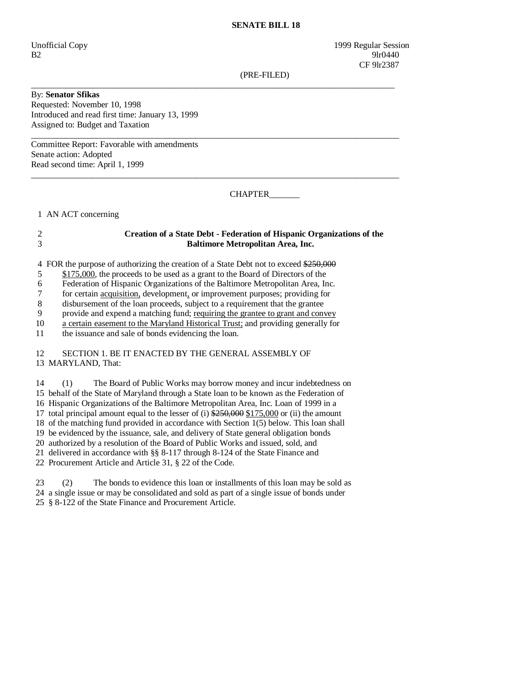## **SENATE BILL 18**

Unofficial Copy 1999 Regular Session B2 9lr0440 **CF** 9lr2387

(PRE-FILED)

By: **Senator Sfikas**  Requested: November 10, 1998 Introduced and read first time: January 13, 1999 Assigned to: Budget and Taxation

Committee Report: Favorable with amendments Senate action: Adopted Read second time: April 1, 1999

CHAPTER\_\_\_\_\_\_\_

1 AN ACT concerning

## 2 **Creation of a State Debt - Federation of Hispanic Organizations of the**  3 **Baltimore Metropolitan Area, Inc.**

\_\_\_\_\_\_\_\_\_\_\_\_\_\_\_\_\_\_\_\_\_\_\_\_\_\_\_\_\_\_\_\_\_\_\_\_\_\_\_\_\_\_\_\_\_\_\_\_\_\_\_\_\_\_\_\_\_\_\_\_\_\_\_\_\_\_\_\_\_\_\_\_\_\_\_\_\_\_\_\_\_\_\_\_

 $\_$  ,  $\_$  ,  $\_$  ,  $\_$  ,  $\_$  ,  $\_$  ,  $\_$  ,  $\_$  ,  $\_$  ,  $\_$  ,  $\_$  ,  $\_$  ,  $\_$  ,  $\_$  ,  $\_$  ,  $\_$  ,  $\_$  ,  $\_$  ,  $\_$  ,  $\_$  ,  $\_$  ,  $\_$  ,  $\_$  ,  $\_$  ,  $\_$  ,  $\_$  ,  $\_$  ,  $\_$  ,  $\_$  ,  $\_$  ,  $\_$  ,  $\_$  ,  $\_$  ,  $\_$  ,  $\_$  ,  $\_$  ,  $\_$  ,

 $\_$  ,  $\_$  ,  $\_$  ,  $\_$  ,  $\_$  ,  $\_$  ,  $\_$  ,  $\_$  ,  $\_$  ,  $\_$  ,  $\_$  ,  $\_$  ,  $\_$  ,  $\_$  ,  $\_$  ,  $\_$  ,  $\_$  ,  $\_$  ,  $\_$  ,  $\_$  ,  $\_$  ,  $\_$  ,  $\_$  ,  $\_$  ,  $\_$  ,  $\_$  ,  $\_$  ,  $\_$  ,  $\_$  ,  $\_$  ,  $\_$  ,  $\_$  ,  $\_$  ,  $\_$  ,  $\_$  ,  $\_$  ,  $\_$  ,

4 FOR the purpose of authorizing the creation of a State Debt not to exceed \$250,000

5 \$175,000, the proceeds to be used as a grant to the Board of Directors of the

6 Federation of Hispanic Organizations of the Baltimore Metropolitan Area, Inc.

7 for certain acquisition, development, or improvement purposes; providing for

8 disbursement of the loan proceeds, subject to a requirement that the grantee

9 provide and expend a matching fund; requiring the grantee to grant and convey

10 a certain easement to the Maryland Historical Trust; and providing generally for

11 the issuance and sale of bonds evidencing the loan.

 12 SECTION 1. BE IT ENACTED BY THE GENERAL ASSEMBLY OF 13 MARYLAND, That:

 14 (1) The Board of Public Works may borrow money and incur indebtedness on 15 behalf of the State of Maryland through a State loan to be known as the Federation of 16 Hispanic Organizations of the Baltimore Metropolitan Area, Inc. Loan of 1999 in a 17 total principal amount equal to the lesser of (i)  $\frac{$250,000}{$250,000}$$  or (ii) the amount 18 of the matching fund provided in accordance with Section 1(5) below. This loan shall 19 be evidenced by the issuance, sale, and delivery of State general obligation bonds 20 authorized by a resolution of the Board of Public Works and issued, sold, and 21 delivered in accordance with §§ 8-117 through 8-124 of the State Finance and 22 Procurement Article and Article 31, § 22 of the Code.

 23 (2) The bonds to evidence this loan or installments of this loan may be sold as 24 a single issue or may be consolidated and sold as part of a single issue of bonds under 25 § 8-122 of the State Finance and Procurement Article.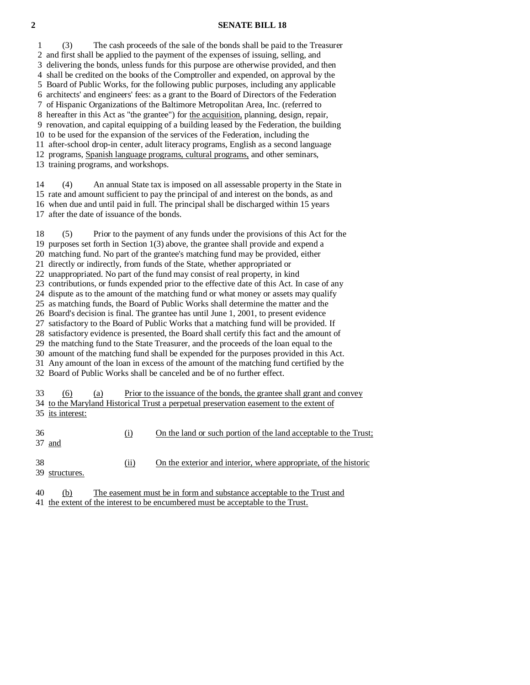## **2 SENATE BILL 18**

 1 (3) The cash proceeds of the sale of the bonds shall be paid to the Treasurer 2 and first shall be applied to the payment of the expenses of issuing, selling, and 3 delivering the bonds, unless funds for this purpose are otherwise provided, and then 4 shall be credited on the books of the Comptroller and expended, on approval by the 5 Board of Public Works, for the following public purposes, including any applicable 6 architects' and engineers' fees: as a grant to the Board of Directors of the Federation 7 of Hispanic Organizations of the Baltimore Metropolitan Area, Inc. (referred to 8 hereafter in this Act as "the grantee") for the acquisition, planning, design, repair, 9 renovation, and capital equipping of a building leased by the Federation, the building 10 to be used for the expansion of the services of the Federation, including the 11 after-school drop-in center, adult literacy programs, English as a second language 12 programs, Spanish language programs, cultural programs, and other seminars, 13 training programs, and workshops.

 14 (4) An annual State tax is imposed on all assessable property in the State in 15 rate and amount sufficient to pay the principal of and interest on the bonds, as and 16 when due and until paid in full. The principal shall be discharged within 15 years 17 after the date of issuance of the bonds.

 18 (5) Prior to the payment of any funds under the provisions of this Act for the 19 purposes set forth in Section 1(3) above, the grantee shall provide and expend a 20 matching fund. No part of the grantee's matching fund may be provided, either 21 directly or indirectly, from funds of the State, whether appropriated or 22 unappropriated. No part of the fund may consist of real property, in kind 23 contributions, or funds expended prior to the effective date of this Act. In case of any 24 dispute as to the amount of the matching fund or what money or assets may qualify 25 as matching funds, the Board of Public Works shall determine the matter and the 26 Board's decision is final. The grantee has until June 1, 2001, to present evidence 27 satisfactory to the Board of Public Works that a matching fund will be provided. If 28 satisfactory evidence is presented, the Board shall certify this fact and the amount of 29 the matching fund to the State Treasurer, and the proceeds of the loan equal to the 30 amount of the matching fund shall be expended for the purposes provided in this Act. 31 Any amount of the loan in excess of the amount of the matching fund certified by the 32 Board of Public Works shall be canceled and be of no further effect. 33 (6) (a) Prior to the issuance of the bonds, the grantee shall grant and convey 34 to the Maryland Historical Trust a perpetual preservation easement to the extent of 35 its interest: 36 (i) On the land or such portion of the land acceptable to the Trust; 37 and

 38 (ii) On the exterior and interior, where appropriate, of the historic 39 structures.

 40 (b) The easement must be in form and substance acceptable to the Trust and 41 the extent of the interest to be encumbered must be acceptable to the Trust.